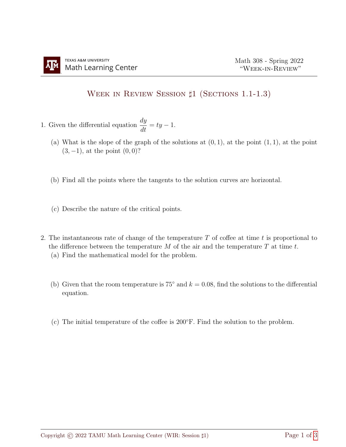## WEEK IN REVIEW SESSION  $\sharp$ 1 (SECTIONS 1.1-1.3)

- 1. Given the differential equation  $\frac{dy}{dt} = ty 1$ .
	- (a) What is the slope of the graph of the solutions at  $(0, 1)$ , at the point  $(1, 1)$ , at the point  $(3, -1)$ , at the point  $(0, 0)$ ?
	- (b) Find all the points where the tangents to the solution curves are horizontal.
	- (c) Describe the nature of the critical points.
- 2. The instantaneous rate of change of the temperature  $T$  of coffee at time  $t$  is proportional to the difference between the temperature  $M$  of the air and the temperature  $T$  at time  $t$ .
	- (a) Find the mathematical model for the problem.
	- (b) Given that the room temperature is 75 $\degree$  and  $k = 0.08$ , find the solutions to the differential equation.
	- (c) The initial temperature of the coffee is 200◦F. Find the solution to the problem.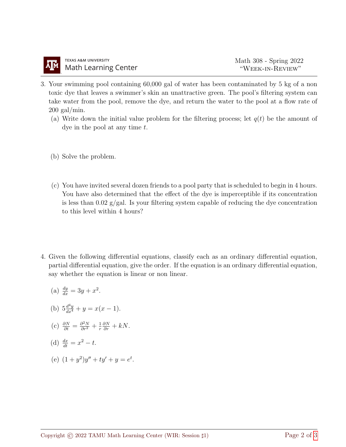- 3. Your swimming pool containing 60,000 gal of water has been contaminated by 5 kg of a non toxic dye that leaves a swimmer's skin an unattractive green. The pool's filtering system can take water from the pool, remove the dye, and return the water to the pool at a flow rate of  $200$  gal/min.
	- (a) Write down the initial value problem for the filtering process; let  $q(t)$  be the amount of dye in the pool at any time  $t$ .
	- (b) Solve the problem.
	- (c) You have invited several dozen friends to a pool party that is scheduled to begin in 4 hours. You have also determined that the effect of the dye is imperceptible if its concentration is less than  $0.02 \text{ g/gal}$ . Is your filtering system capable of reducing the dye concentration to this level within 4 hours?
- 4. Given the following differential equations, classify each as an ordinary differential equation, partial differential equation, give the order. If the equation is an ordinary differential equation, say whether the equation is linear or non linear.
	- (a)  $\frac{dy}{dx} = 3y + x^2$ .
	- (b)  $5\frac{d^4y}{dx^4} + y = x(x-1)$ .
	- (c)  $\frac{\partial N}{\partial t} = \frac{\partial^2 N}{\partial r^2} + \frac{1}{r}$ r  $\frac{\partial N}{\partial r} + kN$ .

(d) 
$$
\frac{dx}{dt} = x^2 - t.
$$

(e) 
$$
(1 + y^2)y'' + ty' + y = e^t
$$
.